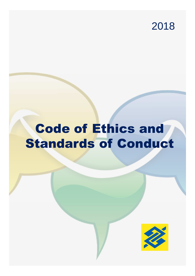## 2018

## Code of Ethics and Standards of Conduct

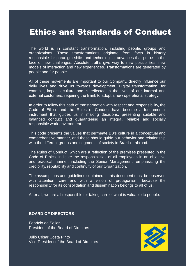## Ethics and Standards of Conduct

The world is in constant transformation, including people, groups and organizations. These transformations originate from facts in history responsible for paradigm shifts and technological advances that put us in the face of new challenges. Absolute truths give way to new possibilities, new models of interaction and new experiences. Transformations are generated by people and for people.

All of these movements are important to our Company, directly influence our daily lives and drive us towards development. Digital transformation, for example, impacts culture and is reflected in the lives of our internal and external customers, requiring the Bank to adopt a new operational strategy.

In order to follow this path of transformation with respect and responsibility, the Code of Ethics and the Rules of Conduct have become a fundamental instrument that guides us in making decisions, presenting suitable and balanced conduct and guaranteeing an integral, reliable and socially responsible work environment.

This code presents the values that permeate BB's culture in a conceptual and comprehensive manner, and these should guide our behavior and relationship with the different groups and segments of society in Brazil or abroad.

The Rules of Conduct, which are a reflection of the premises presented in the Code of Ethics, indicate the responsibilities of all employees in an objective and practical manner, including the Senior Management, emphasizing the credibility, reputability and continuity of our Organization.

The assumptions and guidelines contained in this document must be observed with attention, care and with a vision of protagonism, because the responsibility for its consolidation and dissemination belongs to all of us.

After all, we are all responsible for taking care of what is valuable to people.

#### **BOARD OF DIRECTORS**

Fabrício da Soller President of the Board of Directors

Júlio César Costa Pinto Vice-President of the Board of Directors

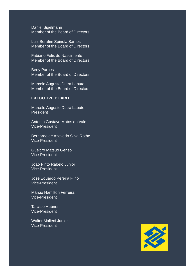Daniel Sigelmann Member of the Board of Directors

Luiz Serafim Spinola Santos Member of the Board of Directors

Fabiano Felix do Nascimento Member of the Board of Directors

Beny Parnes Member of the Board of Directors

Marcelo Augusto Dutra Labuto Member of the Board of Directors

#### **EXECUTIVE BOARD**

Marcelo Augusto Dutra Labuto President

Antonio Gustavo Matos do Vale Vice-President

Bernardo de Azevedo Silva Rothe Vice-President

Gueitiro Matsuo Genso Vice-President

João Pinto Rabelo Junior Vice-President

José Eduardo Pereira Filho Vice-President

Márcio Hamilton Ferreira Vice-President

Tarcisio Hubner Vice-President

Walter Malieni Junior Vice-President

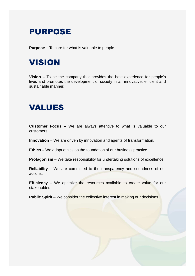## PURPOSE

**Purpose –** To care for what is valuable to people.

## VISION

**Vision –** To be the company that provides the best experience for people's lives and promotes the development of society in an innovative, efficient and sustainable manner.

## VALUES

**Customer Focus** – We are always attentive to what is valuable to our customers.

**Innovation** – We are driven by innovation and agents of transformation.

**Ethics** – We adopt ethics as the foundation of our business practice.

**Protagonism** – We take responsibility for undertaking solutions of excellence.

**Reliability** – We are committed to the transparency and soundness of our actions.

**Efficiency** – We optimize the resources available to create value for our stakeholders.

**Public Spirit** – We consider the collective interest in making our decisions.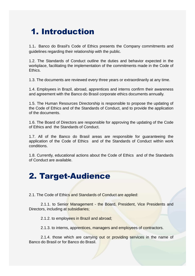## 1. Introduction

1.1. Banco do Brasil's Code of Ethics presents the Company commitments and guidelines regarding their relationship with the public.

1.2. The Standards of Conduct outline the duties and behavior expected in the workplace, facilitating the implementation of the commitments made in the Code of Ethics.

1.3. The documents are reviewed every three years or extraordinarily at any time.

1.4. Employees in Brazil, abroad, apprentices and interns confirm their awareness and agreement with the Banco do Brasil corporate ethics documents annually.

1.5. The Human Resources Directorship is responsible to propose the updating of the Code of Ethics and of the Standards of Conduct, and to provide the application of the documents.

1.6. The Board of Directors are responsible for approving the updating of the Code of Ethics and the Standards of Conduct.

1.7. All of the Banco do Brasil areas are responsible for guaranteeing the application of the Code of Ethics and of the Standards of Conduct within work conditions.

1.8. Currently, educational actions about the Code of Ethics and of the Standards of Conduct are available.

### 2. Target-Audience

2.1. The Code of Ethics and Standards of Conduct are applied:

2.1.1. to Senior Management - the Board, President, Vice Presidents and Directors, including at subsidiaries;

2.1.2. to employees in Brazil and abroad;

2.1.3. to interns, apprentices, managers and employees of contractors.

2.1.4. those which are carrying out or providing services in the name of Banco do Brasil or for Banco do Brasil.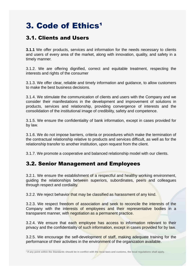## 3. Code of Ethics<sup>1</sup>

#### 3.1. Clients and Users

**3.1.1** We offer products, services and information for the needs necessary to clients and users of every area of the market, along with innovation, quality, and safety in a timely manner.

3.1.2. We are offering dignified, correct and equitable treatment, respecting the interests and rights of the consumer

3.1.3. We offer clear, reliable and timely information and guidance, to allow customers to make the best business decisions.

3.1.4. We stimulate the communication of clients and users with the Company and we consider their manifestations in the development and improvement of solutions in products, services and relationship, providing convergence of interests and the consolidation of the institutional image of credibility, safety and competence.

3.1.5. We ensure the confidentiality of bank information, except in cases provided for by law.

3.1.6. We do not impose barriers, criteria or procedures which make the termination of the contractual relationship relative to products and services difficult, as well as for the relationship transfer to another institution, upon request from the client.

3.1.7. We promote a cooperative and balanced relationship model with our clients.

#### 3.2. Senior Management and Employees

3.2.1. We ensure the establishment of a respectful and healthy working environment, guiding the relationships between superiors, subordinates, peers and colleagues through respect and cordiality.

3.2.2. We reject behavior that may be classified as harassment of any kind.

3.2.3. We respect freedom of association and seek to reconcile the interests of the Company with the interests of employees and their representative bodies in a transparent manner, with negotiation as a permanent practice.

3.2.4. We ensure that each employee has access to information relevant to their privacy and the confidentiality of such information, except in cases provided for by law.

3.2.5. We encourage the self-development of staff, making adequate training for the performance of their activities in the environment of the organization available.

**¹ If any point within the Standards should be in conflict with the local laws and customs, the local regulations shall apply.**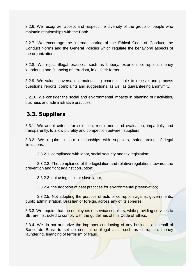3.2.6. We recognize, accept and respect the diversity of the group of people who maintain relationships with the Bank.

3.2.7. We encourage the internal sharing of the Ethical Code of Conduct, the Conduct Norms and the General Policies which regulate the behavioral aspects of the organization.

3.2.8. We reject illegal practices such as bribery, extortion, corruption, money laundering and financing of terrorism, in all their forms.

3.2.9. We value conversation, maintaining channels able to receive and process questions, reports, complaints and suggestions, as well as guaranteeing anonymity.

3.2.10. We consider the social and environmental impacts in planning our activities, business and administrative practices.

#### 3.3. Suppliers

3.3.1. We adopt criteria for selection, recruitment and evaluation, impartially and transparently, to allow plurality and competition between suppliers.

3.3.2. We require, in our relationships with suppliers, safeguarding of legal limitations:

3.3.2.1. compliance with labor, social security and tax legislation;

3.3.2.2. The compliance of the legislation and relative regulations towards the prevention and fight against corruption;

3.3.2.3. not using child or slave labor;

3.3.2.4. the adoption of best practices for environmental preservation;

3.3.2.5. Not adopting the practice of acts of corruption against governments, public administration, Brazilian or foreign, across any of its spheres.

3.3.3. We require that the employees of service suppliers, while providing services to BB, are instructed to comply with the guidelines of this Code of Ethics.

3.3.4. We do not authorize the improper conducting of any business on behalf of Banco do Brasil to set up criminal or illegal acts, such as corruption, money laundering, financing of terrorism or fraud.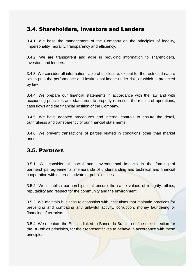#### 3.4. Shareholders, Investors and Lenders

3.4.1. We base the management of the Company on the principles of legality, impersonality, morality, transparency and efficiency.

3.4.2. We are transparent and agile in providing information to shareholders, investors and lenders.

3.4.3. We consider all information liable of disclosure, except for the restricted nature which puts the performance and institutional image under risk, or which is protected by law.

3.4.4. We prepare our financial statements in accordance with the law and with accounting principles and standards, to properly represent the results of operations, cash flows and the financial position of the Company.

3.4.5. We have adopted procedures and internal controls to ensure the detail, truthfulness and transparency of our financial statements.

3.4.6. We prevent transactions of parties related in conditions other than market ones.

#### 3.5. Partners

3.5.1. We consider all social and environmental impacts in the forming of partnerships, agreements, memoranda of understanding and technical and financial cooperation with external, private or public entities.

3.5.2. We establish partnerships that ensure the same values of integrity, ethics, reputability and respect for the community and the environment.

3.5.3. We maintain business relationships with institutions that maintain practices for preventing and combating any unlawful activity, corruption, money laundering or financing of terrorism.

3.5.4. We orientate the Entities linked to Banco do Brasil to define their direction for the BB ethics principles, for their representatives to behave in accordance with these principles.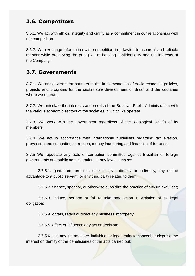#### 3.6. Competitors

3.6.1. We act with ethics, integrity and civility as a commitment in our relationships with the competition.

3.6.2. We exchange information with competition in a lawful, transparent and reliable manner while preserving the principles of banking confidentiality and the interests of the Company.

#### 3.7. Governments

3.7.1. We are government partners in the implementation of socio-economic policies, projects and programs for the sustainable development of Brazil and the countries where we operate.

3.7.2. We articulate the interests and needs of the Brazilian Public Administration with the various economic sectors of the societies in which we operate.

3.7.3. We work with the government regardless of the ideological beliefs of its members.

3.7.4. We act in accordance with international guidelines regarding tax evasion, preventing and combating corruption, money laundering and financing of terrorism.

3.7.5 We repudiate any acts of corruption committed against Brazilian or foreign governments and public administration, at any level, such as:

3.7.5.1. guarantee, promise, offer or give, directly or indirectly, any undue advantage to a public servant, or any third party related to them;

3.7.5.2. finance, sponsor, or otherwise subsidize the practice of any unlawful act;

3.7.5.3. induce, perform or fail to take any action in violation of its legal obligation;

3.7.5.4. obtain, retain or direct any business improperly;

3.7.5.5. affect or influence any act or decision;

3.7.5.6. use any intermediary, individual or legal entity to conceal or disguise the interest or identity of the beneficiaries of the acts carried out;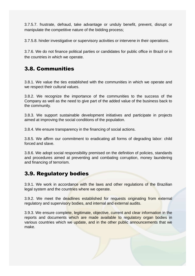3.7.5.7. frustrate, defraud, take advantage or unduly benefit, prevent, disrupt or manipulate the competitive nature of the bidding process;

3.7.5.8. hinder investigative or supervisory activities or intervene in their operations.

3.7.6. We do not finance political parties or candidates for public office in Brazil or in the countries in which we operate.

#### 3.8. Communities

3.8.1. We value the ties established with the communities in which we operate and we respect their cultural values.

3.8.2. We recognize the importance of the communities to the success of the Company as well as the need to give part of the added value of the business back to the community.

3.8.3. We support sustainable development initiatives and participate in projects aimed at improving the social conditions of the population.

3.8.4. We ensure transparency in the financing of social actions.

3.8.5. We affirm our commitment to eradicating all forms of degrading labor: child forced and slave.

3.8.6. We adopt social responsibility premised on the definition of policies, standards and procedures aimed at preventing and combating corruption, money laundering and financing of terrorism.

#### 3.9. Regulatory bodies

3.9.1. We work in accordance with the laws and other regulations of the Brazilian legal system and the countries where we operate.

3.9.2. We meet the deadlines established for requests originating from external regulatory and supervisory bodies, and internal and external audits.

3.9.3. We ensure complete, legitimate, objective, current and clear information in the reports and documents which are made available to regulatory organ bodies in various countries which we update, and in the other public announcements that we make.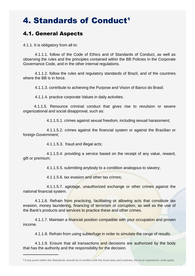## 4. Standards of Conduct<sup>1</sup>

#### 4.1. General Aspects

4.1.1. It is obligatory from all to:

4.1.1.1. follow of the Code of Ethics and of Standards of Conduct, as well as observing the rules and the principles contained within the BB Policies in the Corporate Governance Code, and in the other internal regulations.

4.1.1.2. follow the rules and regulatory standards of Brazil, and of the countries where the BB is in force.

4.1.1.3. contribute to achieving the Purpose and Vision of Banco do Brasil.

4.1.1.4. practice corporate Values in daily activities.

4.1.1.5. Renounce criminal conduct that gives rise to revulsion or severe organizational and social disapproval, such as:

4.1.1.5.1. crimes against sexual freedom, including sexual harassment;

4.1.1.5.2. crimes against the financial system or against the Brazilian or foreign Government;

4.1.1.5.3. fraud and illegal acts;

4.1.1.5.4. providing a service based on the receipt of any value, reward, gift or premium;

4.1.1.5.5. submitting anybody to a condition analogous to slavery;

4.1.1.5.6. tax evasion and other tax crimes;

4.1.1.5.7. agiotage, unauthorized exchange or other crimes against the national financial system.

4.1.1.6. Refrain from practicing, facilitating or allowing acts that constitute tax evasion, money laundering, financing of terrorism or corruption, as well as the use of the Bank's products and services to practice these and other crimes.

4.1.1.7. Maintain a financial position compatible with your occupation and proven income.

4.1.1.8. Refrain from using subterfuge in order to simulate the range of results.

4.1.1.9. Ensure that all transactions and decisions are authorized by the body that has the authority and the responsibility for the decision.

**¹ If any point within the Standards should be in conflict with the local laws and customs, the local regulations shall apply.**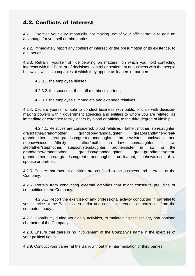#### 4.2. Conflicts of Interest

4.2.1. Exercise your duty impartially, not making use of your official status to gain an advantage for yourself or third parties.

4.2.2. Immediately report any conflict of interest, or the presumption of its existence, to a superior.

4.2.3. Refrain yourself of deliberating on matters on which you hold conflicting interests with the Bank or of decisions, control or settlement of business with the people below, as well as companies at which they appear as leaders or partners:

4.2.3.1. the employee himself;

4.2.3.2. the spouse or the staff member's partner;

4.2.3.3. the employee's immediate and extended relatives.

4.2.4. Declare yourself unable to conduct business with public officials with decisionmaking powers within government agencies and entities to whom you are related, as immediate or extended family, either by blood or affinity, to the third degree of kinship.

4.2.4.1. Relatives are considered: blood relatives - father, mother, son/daughter, grandfather/grandmother, grandson/granddaughter, great-grandfather/greatgrandmother, great-grandson/great-granddaughter, brother/sister, uncle/aunt and nephew/niece. Affinity - father/mother in law, son/daughter in law, stepfather/stepmother, stepson/stepdaughter, brother/sister in law; or the grandfather/grandmother, grandson/granddaughter, great-grandfather/greatgrandmother, great-grandson/great-granddaughter, uncle/aunt, nephew/niece of a spouse or partner.

4.2.5. Ensure that internal activities are confined to the business and interests of the Company.

4.2.6. Refrain from conducting external activities that might constitute prejudice or competition to the Company.

4.2.6.1. Report the exercise of any professional activity conducted in parrallel to your service at the Bank to a superior and consult or request authorization from the competent body.

4.2.7. Contribute, during your daily activities, to maintaining the secular, non-partisan character of the Company.

4.2.8. Ensure that there is no involvement of the Company's name in the exercise of your political rights.

4.2.9. Conduct your career at the Bank without the intermediation of third parties.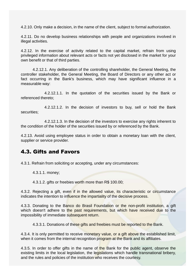4.2.10. Only make a decision, in the name of the client, subject to formal authorization.

4.2.11. Do no develop business relationships with people and organizations involved in illegal activities.

4.2.12. In the exercise of activity related to the capital market, refrain from using privileged information about relevant acts or facts not yet disclosed in the market for your own benefit or that of third parties.

4.2.12.1. Any deliberation of the controlling shareholder, the General Meeting, the controller stakeholder, the General Meeting, the Board of Directors or any other act or fact occurring in the Bank's business, which may have significant influence in a measurable way:

4.2.12.1.1. In the quotation of the securities issued by the Bank or referenced thereto;

4.2.12.1.2. In the decision of investors to buy, sell or hold the Bank securities;

4.2.12.1.3. In the decision of the investors to exercise any rights inherent to the condition of the holder of the securities issued by or referenced by the Bank.

4.2.13. Avoid using employee status in order to obtain a monetary loan with the client, supplier or service provider.

#### 4.3. Gifts and Favors

4.3.1. Refrain from soliciting or accepting, under any circumstances:

4.3.1.1. money;

4.3.1.2. gifts or freebies worth more than R\$ 100.00;

4.3.2. Rejecting a gift, even if in the allowed value, its characteristic or circumstance indicates the intention to influence the impartiality of the decisive process.

4.3.3. Donating to the Banco do Brasil Foundation or the non-profit institution, a gift which doesn't adhere to the past requirements, but which have received due to the impossibility of immediate subsequent return.

4.3.3.1. Donations of these gifts and freebies must be reported to the Bank.

4.3.4. It is only permitted to receive monetary value, or a gift above the established limit, when it comes from the internal recognition program at the Bank and its affiliates.

4.3.5. In order to offer gifts in the name of the Bank for the public agent, observe the existing limits in the local legislation, the legislations which handle transnational bribery, and the rules and policies of the institution who receives the courtesy.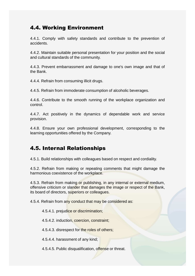#### 4.4. Working Environment

4.4.1. Comply with safety standards and contribute to the prevention of accidents.

4.4.2. Maintain suitable personal presentation for your position and the social and cultural standards of the community.

4.4.3. Prevent embarrassment and damage to one's own image and that of the Bank.

4.4.4. Refrain from consuming illicit drugs.

4.4.5. Refrain from immoderate consumption of alcoholic beverages.

4.4.6. Contribute to the smooth running of the workplace organization and control.

4.4.7. Act positively in the dynamics of dependable work and service provision.

4.4.8. Ensure your own professional development, corresponding to the learning opportunities offered by the Company.

#### 4.5. Internal Relationships

4.5.1. Build relationships with colleagues based on respect and cordiality.

4.5.2. Refrain from making or repeating comments that might damage the harmonious coexistence of the workplace.

4.5.3. Refrain from making or publishing, in any internal or external medium, offensive criticism or slander that damages the image or respect of the Bank, its board of directors, superiors or colleagues.

4.5.4. Refrain from any conduct that may be considered as:

4.5.4.1. prejudice or discrimination;

4.5.4.2. induction, coercion, constraint;

4.5.4.3. disrespect for the roles of others;

4.5.4.4. harassment of any kind;

4.5.4.5. Public disqualification, offense or threat.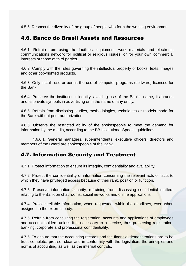4.5.5. Respect the diversity of the group of people who form the working environment.

#### 4.6. Banco do Brasil Assets and Resources

4.6.1. Refrain from using the facilities, equipment, work materials and electronic communications network for political or religious issues, or for your own commercial interests or those of third parties.

4.6.2. Comply with the rules governing the intellectual property of books, texts, images and other copyrighted products.

4.6.3. Only install, use or permit the use of computer programs (software) licensed for the Bank.

4.6.4. Preserve the institutional identity, avoiding use of the Bank's name, its brands and its private symbols in advertising or in the name of any entity.

4.6.5. Refrain from disclosing studies, methodologies, techniques or models made for the Bank without prior authorization.

4.6.6. Observe the restricted ability of the spokespeople to meet the demand for information by the media, according to the BB Institutional Speech guidelines.

4.6.6.1. General managers, superintendents, executive officers, directors and members of the Board are spokespeople of the Bank.

#### 4.7. Information Security and Treatment

4.7.1. Protect information to ensure its integrity, confidentiality and availability.

4.7.2. Protect the confidentiality of information concerning the relevant acts or facts to which they have privileged access because of their rank, position or function.

4.7.3. Preserve information security, refraining from discussing confidential matters relating to the Bank on chat rooms, social networks and online applications.

4.7.4. Provide reliable information, when requested, within the deadlines, even when assigned to the external body.

4.7.5. Refrain from consulting the registration, accounts and applications of employees and account holders unless it is necessary to a service, thus preserving registration, banking, corporate and professional confidentiality.

4.7.6. To ensure that the accounting records and the financial demonstrations are to be true, complete, precise, clear and in conformity with the legislation, the principles and norms of accounting, as well as the internal controls.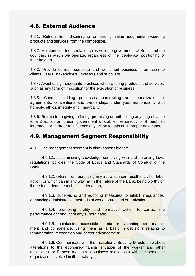#### 4.8. External Audience

4.8.1. Refrain from disparaging or issuing value judgments regarding products and services from the competition.

4.8.2. Maintain courteous relationships with the government of Brazil and the countries in which we operate, regardless of the ideological positioning of their holders.

4.8.3. Provide correct, complete and well-timed business information to clients, users, stakeholders, investors and suppliers.

4.8.4. Avoid using inadequate practices when offering products and services, such as any form of imposition for the execution of business.

4.8.5. Conduct bidding processes, contracting and formalization of agreements, conventions and partnerships under your responsibility with honesty, ethics, integrity and impartiality.

4.8.6. Refrain from giving, offering, promising or authorizing anything of value to a Brazilian or foreign government official, either directly or through an intermediary, in order to influence any action to gain an improper advantage.

#### 4.9. Management Segment Responsibility

4.9.1. The management segment is also responsible for:

4.9.1.1. disseminating knowledge, complying with and enforcing laws, regulations, policies, the Code of Ethics and Standards of Conduct of the Bank;

4.9.1.2. refrain from practicing any act which can result in civil or labor action, or which can in any way harm the nature of the Bank, being worthy of, if needed, adequate technical orientation;

4.9.1.3. supervising and adopting measures to inhibit irregularities, enhancing administrative methods of work control and organization;

4.9.1.4. promoting civility and formative action to correct the performance or conduct of any subordinate;

4.9.1.5. maintaining accessible criteria for evaluating performance, merit and competence, using them as a basis in decisions relating to remuneration, recognition and career advancement;

4.9.1.6. Communicate with the Institutional Security Directorship about alterations to the economic-financial situation of the worker and other associates, or if these maintain a business relationship with the person or organization involved in illicit activity;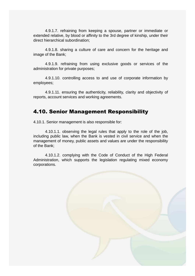4.9.1.7. refraining from keeping a spouse, partner or immediate or extended relative, by blood or affinity to the 3rd degree of kinship, under their direct hierarchical subordination;

4.9.1.8. sharing a culture of care and concern for the heritage and image of the Bank;

4.9.1.9. refraining from using exclusive goods or services of the administration for private purposes;

4.9.1.10. controlling access to and use of corporate information by employees;

4.9.1.11. ensuring the authenticity, reliability, clarity and objectivity of reports, account services and working agreements.

#### 4.10. Senior Management Responsibility

4.10.1. Senior management is also responsible for:

4.10.1.1. observing the legal rules that apply to the role of the job, including public law, when the Bank is vested in civil service and when the management of money, public assets and values are under the responsibility of the Bank;

4.10.1.2. complying with the Code of Conduct of the High Federal Administration, which supports the legislation regulating mixed economy corporations.

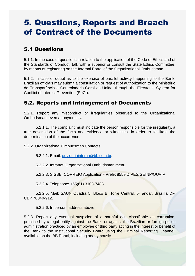## 5. Questions, Reports and Breach of Contract of the Documents

#### 5.1 Questions

5.1.1. In the case of questions in relation to the application of the Code of Ethics and of the Standards of Conduct, talk with a superior or consult the State Ethics Committee, by means of registering on the Internal Portal of the Organizational Ombudsman.

5.1.2. In case of doubt as to the exercise of parallel activity happening to the Bank, Brazilian officials may submit a consultation or request of authorization to the Ministério da Transparência e Controladoria-Geral da União, through the Electronic System for Conflict of Interest Prevention (SeCI).

#### 5.2. Reports and Infringement of Documents

5.2.1. Report any misconduct or irregularities observed to the Organizational Ombudsman, even anonymously.

5.2.1.1. The complaint must indicate the person responsible for the irregularity, a true description of the facts and evidence or witnesses, in order to facilitate the determination of the occurrence.

5.2.2. Organizational Ombudsman Contacts:

5.2.2.1. Email: ouvidoriainterna@bb.com.br.

5.2.2.2. Intranet: Organizational Ombudsman menu.

5.2.2.3. SISBB: CORREIO Application - Prefix 8559 DIPES/GEINP/OUVIR.

5.2.2.4. Telephone: +55(61) 3108-7488

5.2.2.5. Mail: SAUN Quadra 5, Bloco B, Torre Central, 5º andar, Brasília DF, CEP 70040-912.

5.2.2.6. In person: address above.

5.2.3. Report any eventual suspicion of a harmful act, classifiable as corruption, practiced by a legal entity against the Bank, or against the Brazilian or foreign public administration practiced by an employee or third party acting in the interest or benefit of the Bank to the Institutional Security Board using the Criminal Reporting Channel, available on the BB Portal, including anonymously.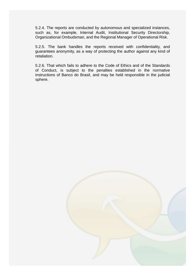5.2.4. The reports are conducted by autonomous and specialized instances, such as, for example, Internal Audit, Institutional Security Directorship, Organizational Ombudsman, and the Regional Manager of Operational Risk.

5.2.5. The bank handles the reports received with confidentiality, and guarantees anonymity, as a way of protecting the author against any kind of retaliation.

5.2.6. That which fails to adhere to the Code of Ethics and of the Standards of Conduct, is subject to the penalties established in the normative instructions of Banco do Brasil, and may be held responsible in the judicial sphere.